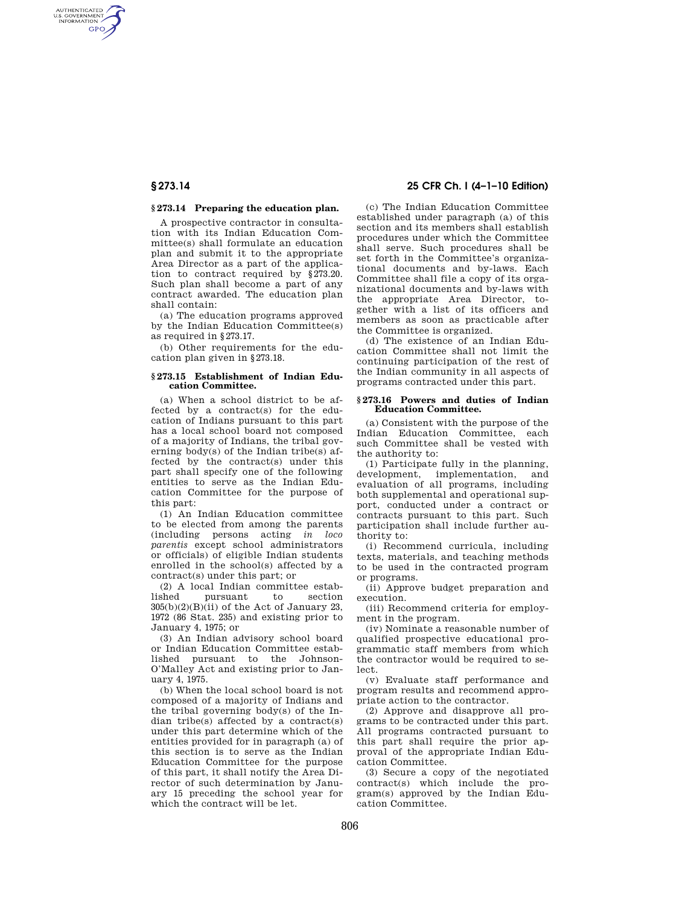AUTHENTICATED<br>U.S. GOVERNMENT<br>INFORMATION **GPO** 

## **§ 273.14 Preparing the education plan.**

A prospective contractor in consultation with its Indian Education Committee(s) shall formulate an education plan and submit it to the appropriate Area Director as a part of the application to contract required by §273.20. Such plan shall become a part of any contract awarded. The education plan shall contain:

(a) The education programs approved by the Indian Education Committee(s) as required in §273.17.

(b) Other requirements for the education plan given in §273.18.

#### **§ 273.15 Establishment of Indian Education Committee.**

(a) When a school district to be affected by a contract(s) for the education of Indians pursuant to this part has a local school board not composed of a majority of Indians, the tribal governing body(s) of the Indian tribe(s) affected by the contract(s) under this part shall specify one of the following entities to serve as the Indian Education Committee for the purpose of this part:

(1) An Indian Education committee to be elected from among the parents (including persons acting *in loco parentis* except school administrators or officials) of eligible Indian students enrolled in the school(s) affected by a contract(s) under this part; or

(2) A local Indian committee established pursuant to section  $305(b)(2)(B)(ii)$  of the Act of January 23. 1972 (86 Stat. 235) and existing prior to January 4, 1975; or

(3) An Indian advisory school board or Indian Education Committee established pursuant to the Johnson-O'Malley Act and existing prior to January 4, 1975.

(b) When the local school board is not composed of a majority of Indians and the tribal governing body(s) of the Indian tribe(s) affected by a contract(s) under this part determine which of the entities provided for in paragraph (a) of this section is to serve as the Indian Education Committee for the purpose of this part, it shall notify the Area Director of such determination by January 15 preceding the school year for which the contract will be let.

# **§ 273.14 25 CFR Ch. I (4–1–10 Edition)**

(c) The Indian Education Committee established under paragraph (a) of this section and its members shall establish procedures under which the Committee shall serve. Such procedures shall be set forth in the Committee's organizational documents and by-laws. Each Committee shall file a copy of its organizational documents and by-laws with the appropriate Area Director, together with a list of its officers and members as soon as practicable after the Committee is organized.

(d) The existence of an Indian Education Committee shall not limit the continuing participation of the rest of the Indian community in all aspects of programs contracted under this part.

#### **§ 273.16 Powers and duties of Indian Education Committee.**

(a) Consistent with the purpose of the Indian Education Committee, each such Committee shall be vested with the authority to:

(1) Participate fully in the planning, development, implementation, and evaluation of all programs, including both supplemental and operational support, conducted under a contract or contracts pursuant to this part. Such participation shall include further authority to:

(i) Recommend curricula, including texts, materials, and teaching methods to be used in the contracted program or programs.

(ii) Approve budget preparation and execution.

(iii) Recommend criteria for employment in the program.

(iv) Nominate a reasonable number of qualified prospective educational programmatic staff members from which the contractor would be required to select.

(v) Evaluate staff performance and program results and recommend appropriate action to the contractor.

(2) Approve and disapprove all programs to be contracted under this part. All programs contracted pursuant to this part shall require the prior approval of the appropriate Indian Education Committee.

(3) Secure a copy of the negotiated contract(s) which include the program(s) approved by the Indian Education Committee.